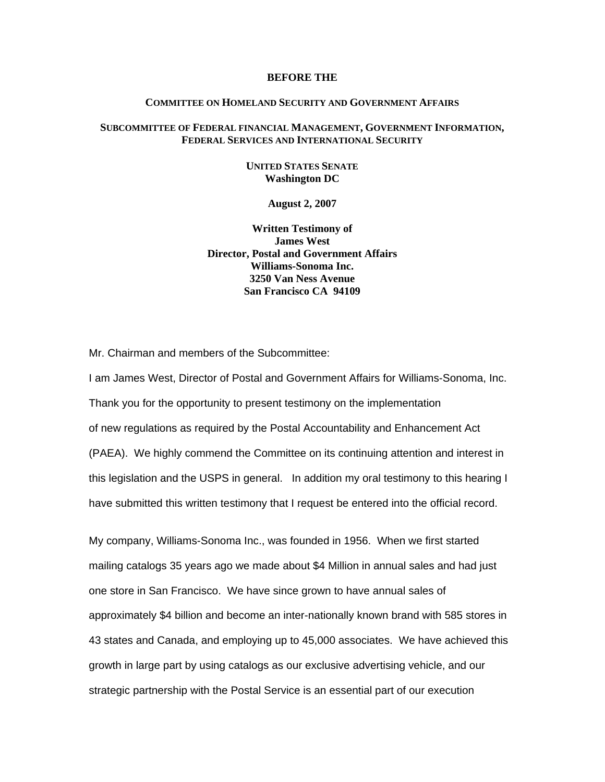#### **BEFORE THE**

### **COMMITTEE ON HOMELAND SECURITY AND GOVERNMENT AFFAIRS**

## **SUBCOMMITTEE OF FEDERAL FINANCIAL MANAGEMENT, GOVERNMENT INFORMATION, FEDERAL SERVICES AND INTERNATIONAL SECURITY**

## **UNITED STATES SENATE Washington DC**

### **August 2, 2007**

**Written Testimony of James West Director, Postal and Government Affairs Williams-Sonoma Inc. 3250 Van Ness Avenue San Francisco CA 94109** 

Mr. Chairman and members of the Subcommittee:

I am James West, Director of Postal and Government Affairs for Williams-Sonoma, Inc. Thank you for the opportunity to present testimony on the implementation of new regulations as required by the Postal Accountability and Enhancement Act (PAEA). We highly commend the Committee on its continuing attention and interest in this legislation and the USPS in general. In addition my oral testimony to this hearing I have submitted this written testimony that I request be entered into the official record.

My company, Williams-Sonoma Inc., was founded in 1956. When we first started mailing catalogs 35 years ago we made about \$4 Million in annual sales and had just one store in San Francisco. We have since grown to have annual sales of approximately \$4 billion and become an inter-nationally known brand with 585 stores in 43 states and Canada, and employing up to 45,000 associates. We have achieved this growth in large part by using catalogs as our exclusive advertising vehicle, and our strategic partnership with the Postal Service is an essential part of our execution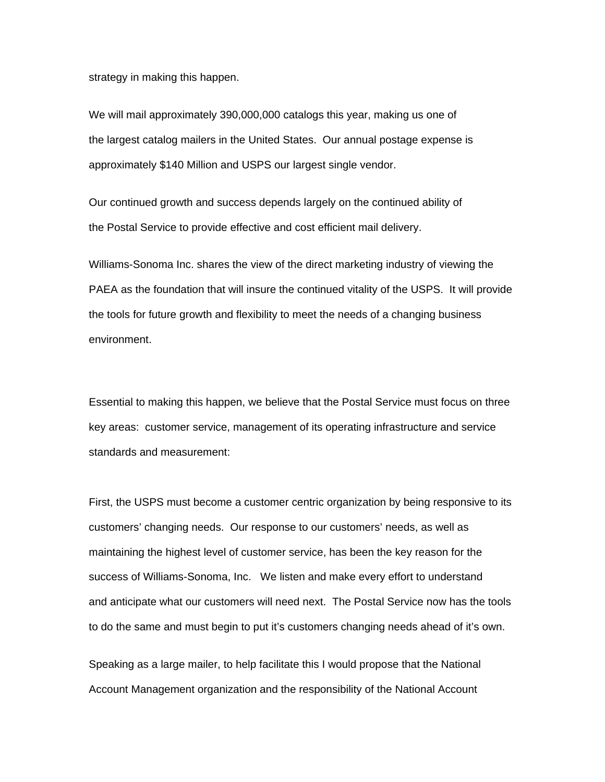strategy in making this happen.

We will mail approximately 390,000,000 catalogs this year, making us one of the largest catalog mailers in the United States. Our annual postage expense is approximately \$140 Million and USPS our largest single vendor.

Our continued growth and success depends largely on the continued ability of the Postal Service to provide effective and cost efficient mail delivery.

Williams-Sonoma Inc. shares the view of the direct marketing industry of viewing the PAEA as the foundation that will insure the continued vitality of the USPS. It will provide the tools for future growth and flexibility to meet the needs of a changing business environment.

Essential to making this happen, we believe that the Postal Service must focus on three key areas: customer service, management of its operating infrastructure and service standards and measurement:

First, the USPS must become a customer centric organization by being responsive to its customers' changing needs. Our response to our customers' needs, as well as maintaining the highest level of customer service, has been the key reason for the success of Williams-Sonoma, Inc. We listen and make every effort to understand and anticipate what our customers will need next. The Postal Service now has the tools to do the same and must begin to put it's customers changing needs ahead of it's own.

Speaking as a large mailer, to help facilitate this I would propose that the National Account Management organization and the responsibility of the National Account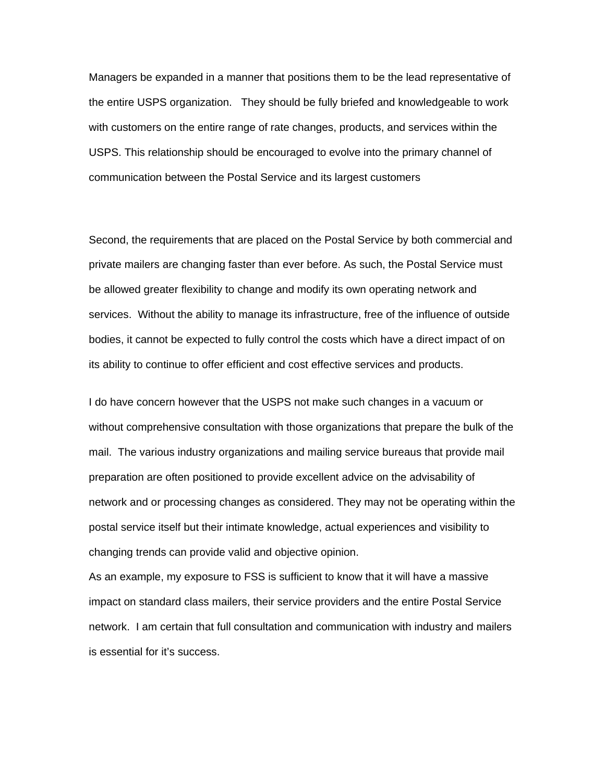Managers be expanded in a manner that positions them to be the lead representative of the entire USPS organization. They should be fully briefed and knowledgeable to work with customers on the entire range of rate changes, products, and services within the USPS. This relationship should be encouraged to evolve into the primary channel of communication between the Postal Service and its largest customers

Second, the requirements that are placed on the Postal Service by both commercial and private mailers are changing faster than ever before. As such, the Postal Service must be allowed greater flexibility to change and modify its own operating network and services. Without the ability to manage its infrastructure, free of the influence of outside bodies, it cannot be expected to fully control the costs which have a direct impact of on its ability to continue to offer efficient and cost effective services and products.

I do have concern however that the USPS not make such changes in a vacuum or without comprehensive consultation with those organizations that prepare the bulk of the mail. The various industry organizations and mailing service bureaus that provide mail preparation are often positioned to provide excellent advice on the advisability of network and or processing changes as considered. They may not be operating within the postal service itself but their intimate knowledge, actual experiences and visibility to changing trends can provide valid and objective opinion.

As an example, my exposure to FSS is sufficient to know that it will have a massive impact on standard class mailers, their service providers and the entire Postal Service network. I am certain that full consultation and communication with industry and mailers is essential for it's success.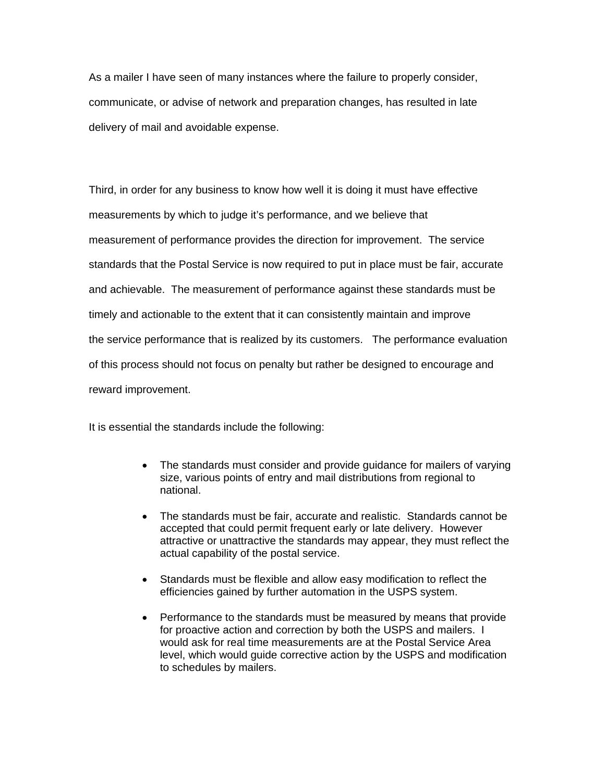As a mailer I have seen of many instances where the failure to properly consider, communicate, or advise of network and preparation changes, has resulted in late delivery of mail and avoidable expense.

Third, in order for any business to know how well it is doing it must have effective measurements by which to judge it's performance, and we believe that measurement of performance provides the direction for improvement. The service standards that the Postal Service is now required to put in place must be fair, accurate and achievable. The measurement of performance against these standards must be timely and actionable to the extent that it can consistently maintain and improve the service performance that is realized by its customers. The performance evaluation of this process should not focus on penalty but rather be designed to encourage and reward improvement.

It is essential the standards include the following:

- The standards must consider and provide quidance for mailers of varying size, various points of entry and mail distributions from regional to national.
- The standards must be fair, accurate and realistic. Standards cannot be accepted that could permit frequent early or late delivery. However attractive or unattractive the standards may appear, they must reflect the actual capability of the postal service.
- Standards must be flexible and allow easy modification to reflect the efficiencies gained by further automation in the USPS system.
- Performance to the standards must be measured by means that provide for proactive action and correction by both the USPS and mailers. I would ask for real time measurements are at the Postal Service Area level, which would guide corrective action by the USPS and modification to schedules by mailers.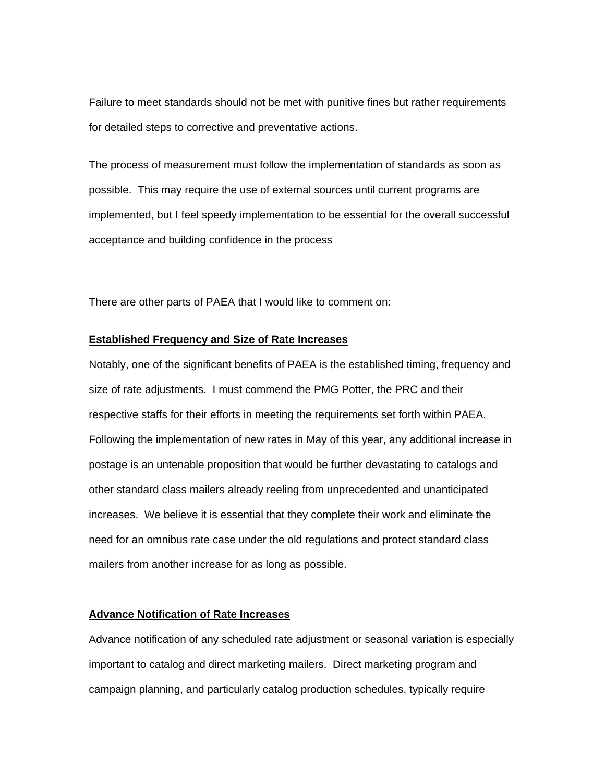Failure to meet standards should not be met with punitive fines but rather requirements for detailed steps to corrective and preventative actions.

The process of measurement must follow the implementation of standards as soon as possible. This may require the use of external sources until current programs are implemented, but I feel speedy implementation to be essential for the overall successful acceptance and building confidence in the process

There are other parts of PAEA that I would like to comment on:

## **Established Frequency and Size of Rate Increases**

Notably, one of the significant benefits of PAEA is the established timing, frequency and size of rate adjustments. I must commend the PMG Potter, the PRC and their respective staffs for their efforts in meeting the requirements set forth within PAEA. Following the implementation of new rates in May of this year, any additional increase in postage is an untenable proposition that would be further devastating to catalogs and other standard class mailers already reeling from unprecedented and unanticipated increases. We believe it is essential that they complete their work and eliminate the need for an omnibus rate case under the old regulations and protect standard class mailers from another increase for as long as possible.

# **Advance Notification of Rate Increases**

Advance notification of any scheduled rate adjustment or seasonal variation is especially important to catalog and direct marketing mailers. Direct marketing program and campaign planning, and particularly catalog production schedules, typically require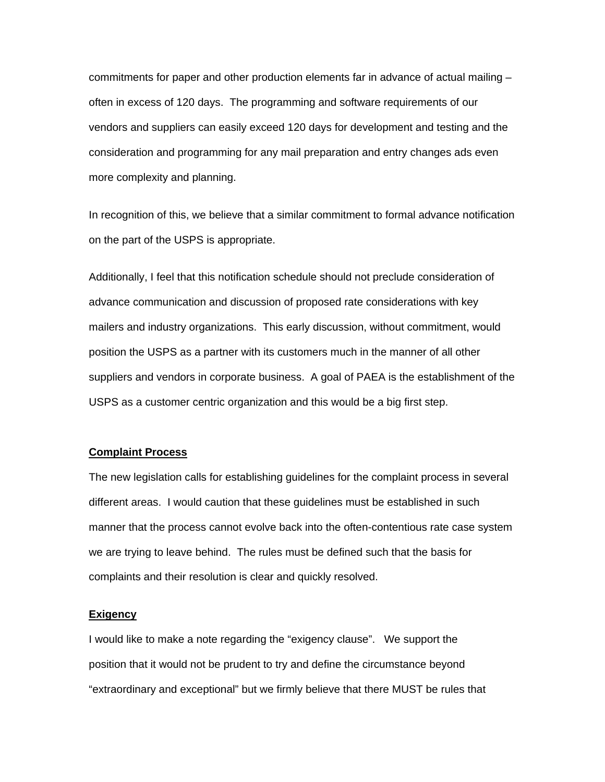commitments for paper and other production elements far in advance of actual mailing – often in excess of 120 days. The programming and software requirements of our vendors and suppliers can easily exceed 120 days for development and testing and the consideration and programming for any mail preparation and entry changes ads even more complexity and planning.

In recognition of this, we believe that a similar commitment to formal advance notification on the part of the USPS is appropriate.

Additionally, I feel that this notification schedule should not preclude consideration of advance communication and discussion of proposed rate considerations with key mailers and industry organizations. This early discussion, without commitment, would position the USPS as a partner with its customers much in the manner of all other suppliers and vendors in corporate business. A goal of PAEA is the establishment of the USPS as a customer centric organization and this would be a big first step.

## **Complaint Process**

The new legislation calls for establishing guidelines for the complaint process in several different areas. I would caution that these guidelines must be established in such manner that the process cannot evolve back into the often-contentious rate case system we are trying to leave behind. The rules must be defined such that the basis for complaints and their resolution is clear and quickly resolved.

#### **Exigency**

I would like to make a note regarding the "exigency clause". We support the position that it would not be prudent to try and define the circumstance beyond "extraordinary and exceptional" but we firmly believe that there MUST be rules that